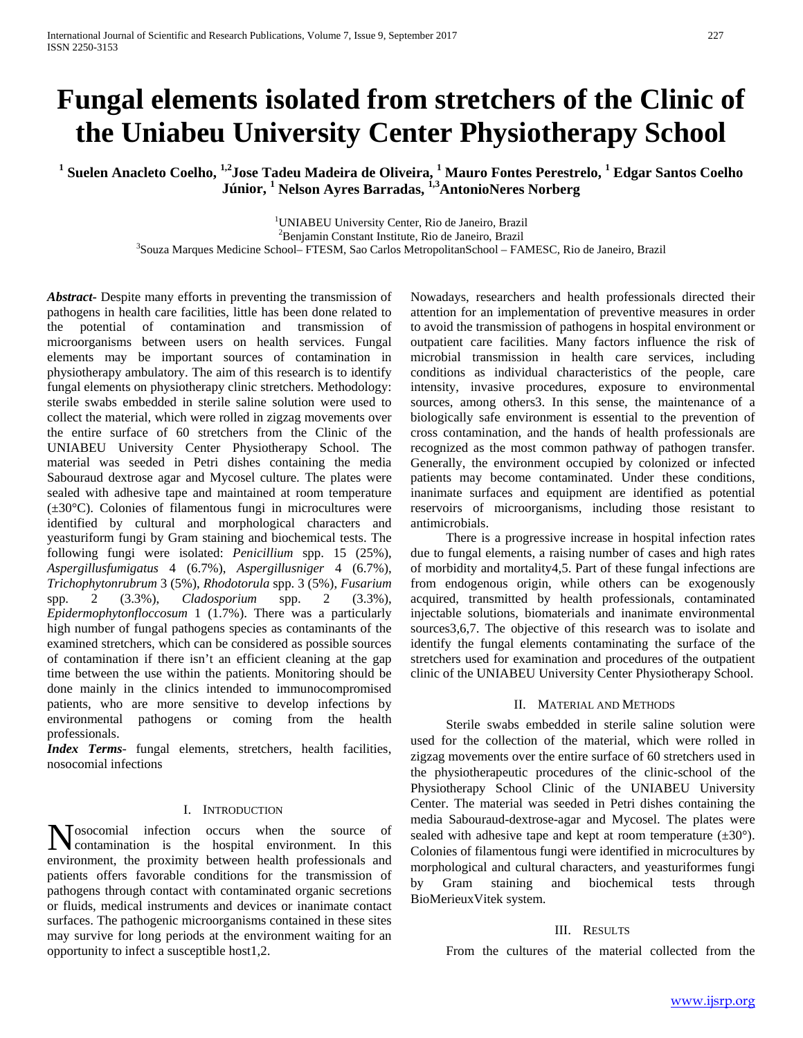# **Fungal elements isolated from stretchers of the Clinic of the Uniabeu University Center Physiotherapy School**

**<sup>1</sup> Suelen Anacleto Coelho, 1,2Jose Tadeu Madeira de Oliveira, 1 Mauro Fontes Perestrelo, <sup>1</sup> Edgar Santos Coelho Júnior, <sup>1</sup> Nelson Ayres Barradas, 1,3AntonioNeres Norberg**

<sup>1</sup>UNIABEU University Center, Rio de Janeiro, Brazil

<sup>2</sup>Benjamin Constant Institute, Rio de Janeiro, Brazil

Benjamin Constant Institute, Rio de Janeiro, Brazil <sup>3</sup> Souza Marques Medicine School– FTESM, Sao Carlos MetropolitanSchool – FAMESC, Rio de Janeiro, Brazil

*Abstract***-** Despite many efforts in preventing the transmission of pathogens in health care facilities, little has been done related to the potential of contamination and transmission of microorganisms between users on health services. Fungal elements may be important sources of contamination in physiotherapy ambulatory. The aim of this research is to identify fungal elements on physiotherapy clinic stretchers. Methodology: sterile swabs embedded in sterile saline solution were used to collect the material, which were rolled in zigzag movements over the entire surface of 60 stretchers from the Clinic of the UNIABEU University Center Physiotherapy School. The material was seeded in Petri dishes containing the media Sabouraud dextrose agar and Mycosel culture. The plates were sealed with adhesive tape and maintained at room temperature (±30°C). Colonies of filamentous fungi in microcultures were identified by cultural and morphological characters and yeasturiform fungi by Gram staining and biochemical tests. The following fungi were isolated: *Penicillium* spp. 15 (25%), *Aspergillusfumigatus* 4 (6.7%), *Aspergillusniger* 4 (6.7%), *Trichophytonrubrum* 3 (5%), *Rhodotorula* spp. 3 (5%), *Fusarium* spp. 2 (3.3%), *Cladosporium* spp. 2 (3.3%), *Epidermophytonfloccosum* 1 (1.7%). There was a particularly high number of fungal pathogens species as contaminants of the examined stretchers, which can be considered as possible sources of contamination if there isn't an efficient cleaning at the gap time between the use within the patients. Monitoring should be done mainly in the clinics intended to immunocompromised patients, who are more sensitive to develop infections by environmental pathogens or coming from the health professionals.

*Index Terms*- fungal elements, stretchers, health facilities, nosocomial infections

#### I. INTRODUCTION

osocomial infection occurs when the source of Nosocomial infection occurs when the source of contamination is the hospital environment. In this environment, the proximity between health professionals and patients offers favorable conditions for the transmission of pathogens through contact with contaminated organic secretions or fluids, medical instruments and devices or inanimate contact surfaces. The pathogenic microorganisms contained in these sites may survive for long periods at the environment waiting for an opportunity to infect a susceptible host1,2.

Nowadays, researchers and health professionals directed their attention for an implementation of preventive measures in order to avoid the transmission of pathogens in hospital environment or outpatient care facilities. Many factors influence the risk of microbial transmission in health care services, including conditions as individual characteristics of the people, care intensity, invasive procedures, exposure to environmental sources, among others3. In this sense, the maintenance of a biologically safe environment is essential to the prevention of cross contamination, and the hands of health professionals are recognized as the most common pathway of pathogen transfer. Generally, the environment occupied by colonized or infected patients may become contaminated. Under these conditions, inanimate surfaces and equipment are identified as potential reservoirs of microorganisms, including those resistant to antimicrobials.

There is a progressive increase in hospital infection rates due to fungal elements, a raising number of cases and high rates of morbidity and mortality4,5. Part of these fungal infections are from endogenous origin, while others can be exogenously acquired, transmitted by health professionals, contaminated injectable solutions, biomaterials and inanimate environmental sources 3, 6, 7. The objective of this research was to isolate and identify the fungal elements contaminating the surface of the stretchers used for examination and procedures of the outpatient clinic of the UNIABEU University Center Physiotherapy School.

## II. MATERIAL AND METHODS

Sterile swabs embedded in sterile saline solution were used for the collection of the material, which were rolled in zigzag movements over the entire surface of 60 stretchers used in the physiotherapeutic procedures of the clinic-school of the Physiotherapy School Clinic of the UNIABEU University Center. The material was seeded in Petri dishes containing the media Sabouraud-dextrose-agar and Mycosel. The plates were sealed with adhesive tape and kept at room temperature  $(\pm 30^{\circ})$ . Colonies of filamentous fungi were identified in microcultures by morphological and cultural characters, and yeasturiformes fungi by Gram staining and biochemical tests through BioMerieuxVitek system.

## III. RESULTS

From the cultures of the material collected from the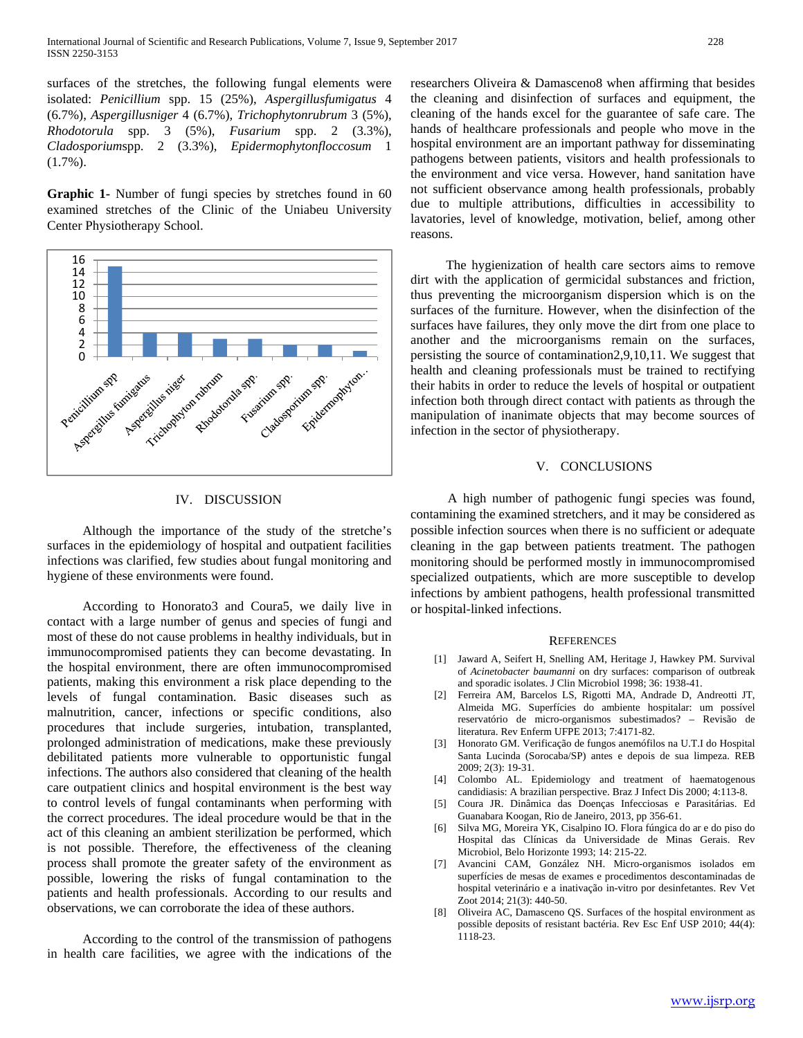surfaces of the stretches, the following fungal elements were isolated: *Penicillium* spp. 15 (25%), *Aspergillusfumigatus* 4 (6.7%), *Aspergillusniger* 4 (6.7%), *Trichophytonrubrum* 3 (5%), *Rhodotorula* spp. 3 (5%), *Fusarium* spp. 2 (3.3%), *Cladosporium*spp. 2 (3.3%), *Epidermophytonfloccosum* 1  $(1.7\%)$ .

**Graphic 1-** Number of fungi species by stretches found in 60 examined stretches of the Clinic of the Uniabeu University Center Physiotherapy School.



## IV. DISCUSSION

Although the importance of the study of the stretche's surfaces in the epidemiology of hospital and outpatient facilities infections was clarified, few studies about fungal monitoring and hygiene of these environments were found.

According to Honorato3 and Coura5, we daily live in contact with a large number of genus and species of fungi and most of these do not cause problems in healthy individuals, but in immunocompromised patients they can become devastating. In the hospital environment, there are often immunocompromised patients, making this environment a risk place depending to the levels of fungal contamination. Basic diseases such as malnutrition, cancer, infections or specific conditions, also procedures that include surgeries, intubation, transplanted, prolonged administration of medications, make these previously debilitated patients more vulnerable to opportunistic fungal infections. The authors also considered that cleaning of the health care outpatient clinics and hospital environment is the best way to control levels of fungal contaminants when performing with the correct procedures. The ideal procedure would be that in the act of this cleaning an ambient sterilization be performed, which is not possible. Therefore, the effectiveness of the cleaning process shall promote the greater safety of the environment as possible, lowering the risks of fungal contamination to the patients and health professionals. According to our results and observations, we can corroborate the idea of these authors.

According to the control of the transmission of pathogens in health care facilities, we agree with the indications of the researchers Oliveira & Damasceno8 when affirming that besides the cleaning and disinfection of surfaces and equipment, the cleaning of the hands excel for the guarantee of safe care. The hands of healthcare professionals and people who move in the hospital environment are an important pathway for disseminating pathogens between patients, visitors and health professionals to the environment and vice versa. However, hand sanitation have not sufficient observance among health professionals, probably due to multiple attributions, difficulties in accessibility to lavatories, level of knowledge, motivation, belief, among other reasons.

The hygienization of health care sectors aims to remove dirt with the application of germicidal substances and friction, thus preventing the microorganism dispersion which is on the surfaces of the furniture. However, when the disinfection of the surfaces have failures, they only move the dirt from one place to another and the microorganisms remain on the surfaces, persisting the source of contamination2,9,10,11. We suggest that health and cleaning professionals must be trained to rectifying their habits in order to reduce the levels of hospital or outpatient infection both through direct contact with patients as through the manipulation of inanimate objects that may become sources of infection in the sector of physiotherapy.

## V. CONCLUSIONS

A high number of pathogenic fungi species was found, contamining the examined stretchers, and it may be considered as possible infection sources when there is no sufficient or adequate cleaning in the gap between patients treatment. The pathogen monitoring should be performed mostly in immunocompromised specialized outpatients, which are more susceptible to develop infections by ambient pathogens, health professional transmitted or hospital-linked infections.

## **REFERENCES**

- [1] Jaward A, Seifert H, Snelling AM, Heritage J, Hawkey PM. Survival of *Acinetobacter baumanni* on dry surfaces: comparison of outbreak and sporadic isolates. J Clin Microbiol 1998; 36: 1938-41.
- [2] Ferreira AM, Barcelos LS, Rigotti MA, Andrade D, Andreotti JT, Almeida MG. Superfícies do ambiente hospitalar: um possível reservatório de micro-organismos subestimados? – Revisão de literatura. Rev Enferm UFPE 2013; 7:4171-82.
- [3] Honorato GM. Verificação de fungos anemófilos na U.T.I do Hospital Santa Lucinda (Sorocaba/SP) antes e depois de sua limpeza. REB 2009; 2(3): 19-31.
- [4] Colombo AL. Epidemiology and treatment of haematogenous candidiasis: A brazilian perspective. Braz J Infect Dis 2000; 4:113-8.
- [5] Coura JR. Dinâmica das Doenças Infecciosas e Parasitárias. Ed Guanabara Koogan, Rio de Janeiro, 2013, pp 356-61.
- [6] Silva MG, Moreira YK, Cisalpino IO. Flora fúngica do ar e do piso do Hospital das Clínicas da Universidade de Minas Gerais. Rev Microbiol, Belo Horizonte 1993; 14: 215-22.
- [7] Avancini CAM, González NH. Micro-organismos isolados em superfícies de mesas de exames e procedimentos descontaminadas de hospital veterinário e a inativação in-vitro por desinfetantes. Rev Vet Zoot 2014; 21(3): 440-50.
- [8] Oliveira AC, Damasceno QS. Surfaces of the hospital environment as possible deposits of resistant bactéria. Rev Esc Enf USP 2010; 44(4): 1118-23.